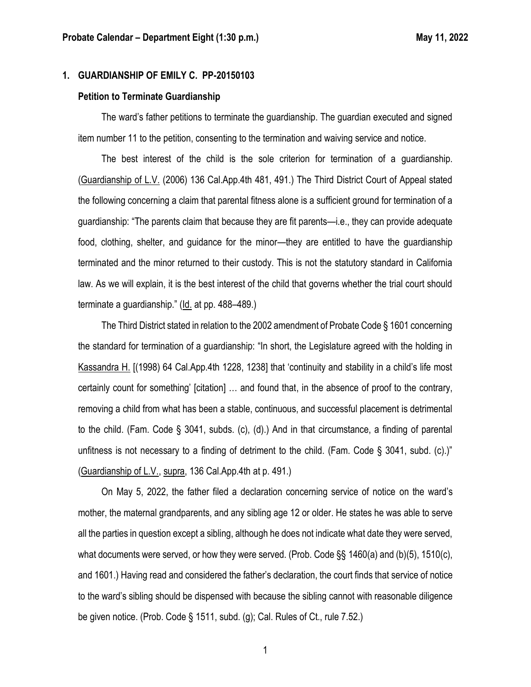# **1. GUARDIANSHIP OF EMILY C. PP-20150103**

#### **Petition to Terminate Guardianship**

The ward's father petitions to terminate the guardianship. The guardian executed and signed item number 11 to the petition, consenting to the termination and waiving service and notice.

The best interest of the child is the sole criterion for termination of a guardianship. (Guardianship of L.V. (2006) 136 Cal.App.4th 481, 491.) The Third District Court of Appeal stated the following concerning a claim that parental fitness alone is a sufficient ground for termination of a guardianship: "The parents claim that because they are fit parents—i.e., they can provide adequate food, clothing, shelter, and guidance for the minor—they are entitled to have the guardianship terminated and the minor returned to their custody. This is not the statutory standard in California law. As we will explain, it is the best interest of the child that governs whether the trial court should terminate a guardianship." (Id. at pp. 488–489.)

The Third District stated in relation to the 2002 amendment of Probate Code § 1601 concerning the standard for termination of a guardianship: "In short, the Legislature agreed with the holding in Kassandra H. [(1998) 64 Cal.App.4th 1228, 1238] that 'continuity and stability in a child's life most certainly count for something' [citation] … and found that, in the absence of proof to the contrary, removing a child from what has been a stable, continuous, and successful placement is detrimental to the child. (Fam. Code § 3041, subds. (c), (d).) And in that circumstance, a finding of parental unfitness is not necessary to a finding of detriment to the child. (Fam. Code  $\S$  3041, subd. (c).)" (Guardianship of L.V., supra, 136 Cal.App.4th at p. 491.)

On May 5, 2022, the father filed a declaration concerning service of notice on the ward's mother, the maternal grandparents, and any sibling age 12 or older. He states he was able to serve all the parties in question except a sibling, although he does not indicate what date they were served, what documents were served, or how they were served. (Prob. Code §§ 1460(a) and (b)(5), 1510(c), and 1601.) Having read and considered the father's declaration, the court finds that service of notice to the ward's sibling should be dispensed with because the sibling cannot with reasonable diligence be given notice. (Prob. Code § 1511, subd. (g); Cal. Rules of Ct., rule 7.52.)

1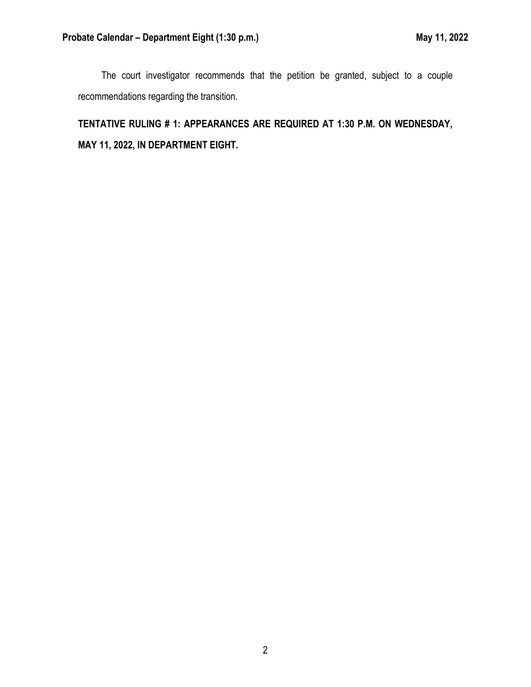The court investigator recommends that the petition be granted, subject to a couple recommendations regarding the transition.

**TENTATIVE RULING # 1: APPEARANCES ARE REQUIRED AT 1:30 P.M. ON WEDNESDAY, MAY 11, 2022, IN DEPARTMENT EIGHT.**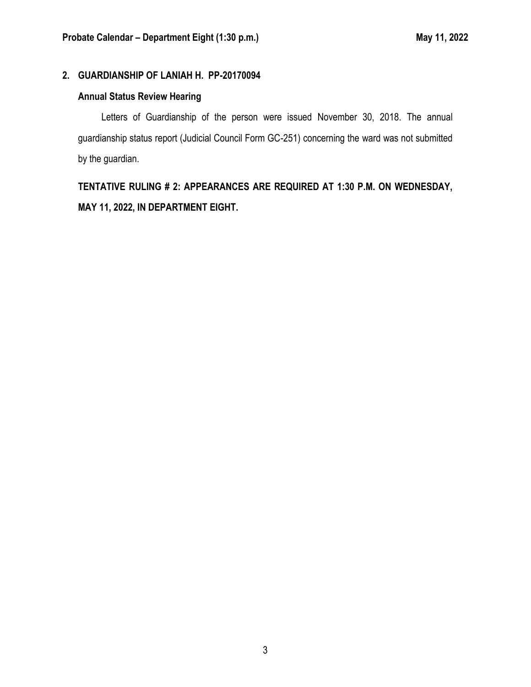# **2. GUARDIANSHIP OF LANIAH H. PP-20170094**

# **Annual Status Review Hearing**

Letters of Guardianship of the person were issued November 30, 2018. The annual guardianship status report (Judicial Council Form GC-251) concerning the ward was not submitted by the guardian.

**TENTATIVE RULING # 2: APPEARANCES ARE REQUIRED AT 1:30 P.M. ON WEDNESDAY, MAY 11, 2022, IN DEPARTMENT EIGHT.**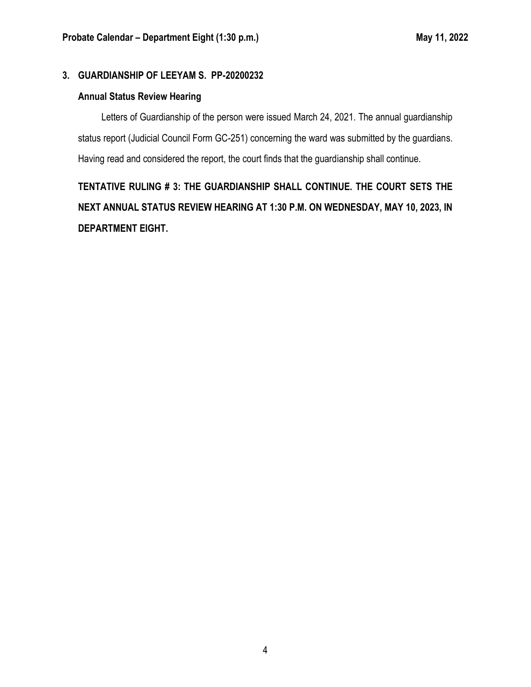## **3. GUARDIANSHIP OF LEEYAM S. PP-20200232**

### **Annual Status Review Hearing**

Letters of Guardianship of the person were issued March 24, 2021. The annual guardianship status report (Judicial Council Form GC-251) concerning the ward was submitted by the guardians. Having read and considered the report, the court finds that the guardianship shall continue.

**TENTATIVE RULING # 3: THE GUARDIANSHIP SHALL CONTINUE. THE COURT SETS THE NEXT ANNUAL STATUS REVIEW HEARING AT 1:30 P.M. ON WEDNESDAY, MAY 10, 2023, IN DEPARTMENT EIGHT.**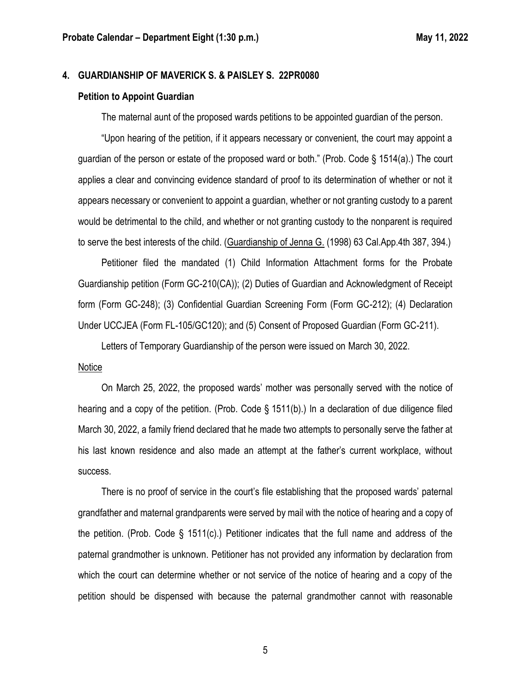#### **4. GUARDIANSHIP OF MAVERICK S. & PAISLEY S. 22PR0080**

#### **Petition to Appoint Guardian**

The maternal aunt of the proposed wards petitions to be appointed guardian of the person.

"Upon hearing of the petition, if it appears necessary or convenient, the court may appoint a guardian of the person or estate of the proposed ward or both." (Prob. Code § 1514(a).) The court applies a clear and convincing evidence standard of proof to its determination of whether or not it appears necessary or convenient to appoint a guardian, whether or not granting custody to a parent would be detrimental to the child, and whether or not granting custody to the nonparent is required to serve the best interests of the child. (Guardianship of Jenna G. (1998) 63 Cal.App.4th 387, 394.)

Petitioner filed the mandated (1) Child Information Attachment forms for the Probate Guardianship petition (Form GC-210(CA)); (2) Duties of Guardian and Acknowledgment of Receipt form (Form GC-248); (3) Confidential Guardian Screening Form (Form GC-212); (4) Declaration Under UCCJEA (Form FL-105/GC120); and (5) Consent of Proposed Guardian (Form GC-211).

Letters of Temporary Guardianship of the person were issued on March 30, 2022.

#### Notice

On March 25, 2022, the proposed wards' mother was personally served with the notice of hearing and a copy of the petition. (Prob. Code § 1511(b).) In a declaration of due diligence filed March 30, 2022, a family friend declared that he made two attempts to personally serve the father at his last known residence and also made an attempt at the father's current workplace, without success.

There is no proof of service in the court's file establishing that the proposed wards' paternal grandfather and maternal grandparents were served by mail with the notice of hearing and a copy of the petition. (Prob. Code § 1511(c).) Petitioner indicates that the full name and address of the paternal grandmother is unknown. Petitioner has not provided any information by declaration from which the court can determine whether or not service of the notice of hearing and a copy of the petition should be dispensed with because the paternal grandmother cannot with reasonable

5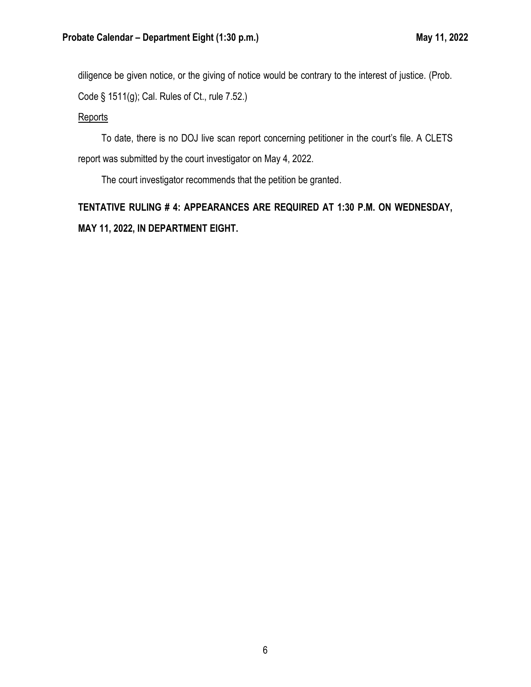diligence be given notice, or the giving of notice would be contrary to the interest of justice. (Prob. Code § 1511(g); Cal. Rules of Ct., rule 7.52.)

### **Reports**

To date, there is no DOJ live scan report concerning petitioner in the court's file. A CLETS report was submitted by the court investigator on May 4, 2022.

The court investigator recommends that the petition be granted.

**TENTATIVE RULING # 4: APPEARANCES ARE REQUIRED AT 1:30 P.M. ON WEDNESDAY, MAY 11, 2022, IN DEPARTMENT EIGHT.**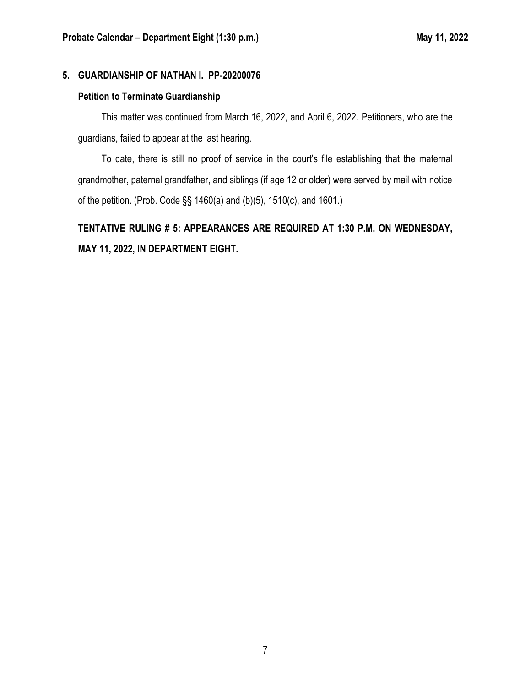## **5. GUARDIANSHIP OF NATHAN I. PP-20200076**

# **Petition to Terminate Guardianship**

This matter was continued from March 16, 2022, and April 6, 2022. Petitioners, who are the guardians, failed to appear at the last hearing.

To date, there is still no proof of service in the court's file establishing that the maternal grandmother, paternal grandfather, and siblings (if age 12 or older) were served by mail with notice of the petition. (Prob. Code §§ 1460(a) and (b)(5), 1510(c), and 1601.)

**TENTATIVE RULING # 5: APPEARANCES ARE REQUIRED AT 1:30 P.M. ON WEDNESDAY, MAY 11, 2022, IN DEPARTMENT EIGHT.**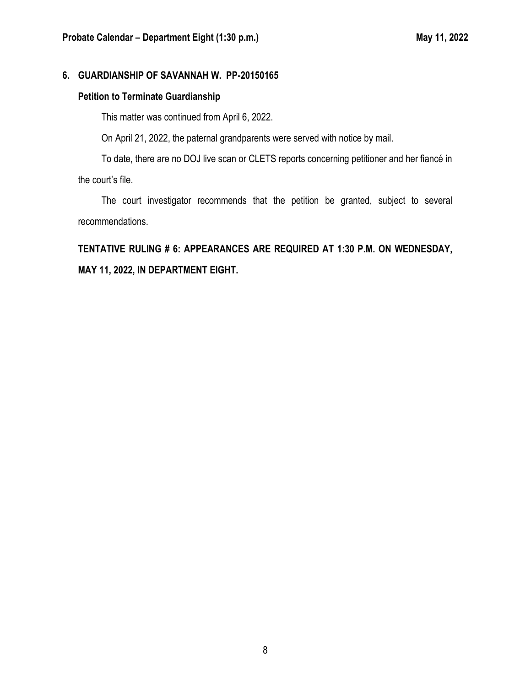# **6. GUARDIANSHIP OF SAVANNAH W. PP-20150165**

# **Petition to Terminate Guardianship**

This matter was continued from April 6, 2022.

On April 21, 2022, the paternal grandparents were served with notice by mail.

To date, there are no DOJ live scan or CLETS reports concerning petitioner and her fiancé in the court's file.

The court investigator recommends that the petition be granted, subject to several recommendations.

**TENTATIVE RULING # 6: APPEARANCES ARE REQUIRED AT 1:30 P.M. ON WEDNESDAY, MAY 11, 2022, IN DEPARTMENT EIGHT.**